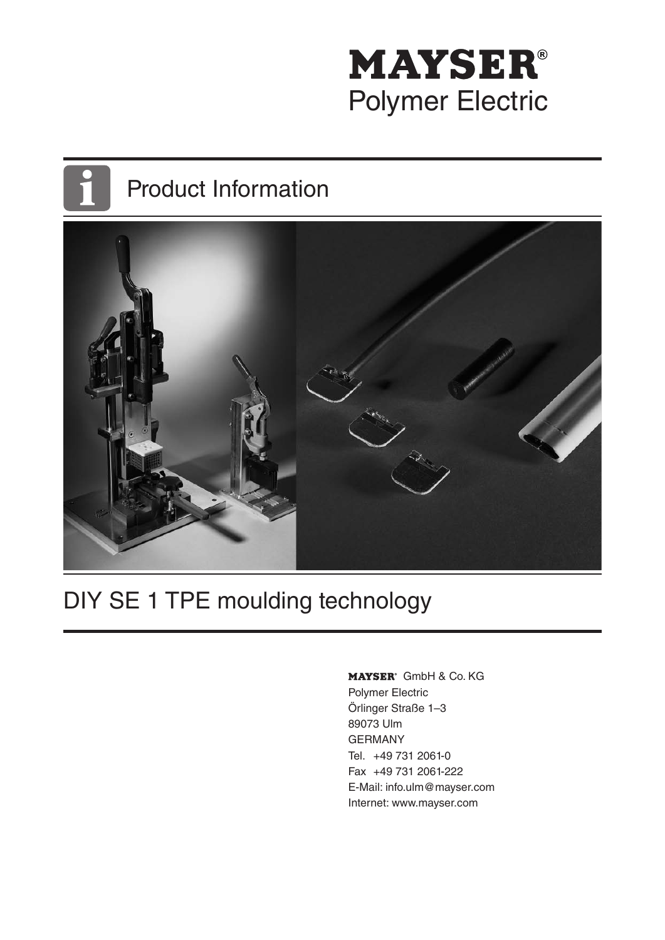# **MAYSER®** Polymer Electric

## Product Information



## DIY SE 1 TPE moulding technology

MAYSER<sup>®</sup> GmbH & Co. KG Polymer Electric

Örlinger Straße 1–3 89073 Ulm GERMANY Tel. +49 731 2061-0 Fax +49 731 2061-222 E-Mail: info.ulm@mayser.com Internet: www.mayser.com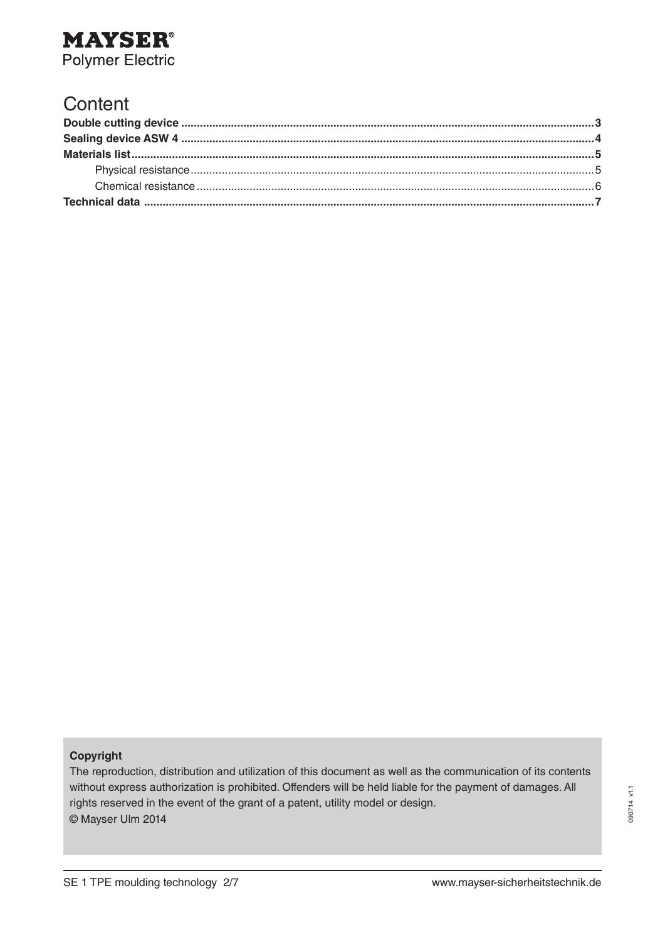

#### **Content**

#### **Copyright**

The reproduction, distribution and utilization of this document as well as the communication of its contents without express authorization is prohibited. Offenders will be held liable for the payment of damages. All rights reserved in the event of the grant of a patent, utility model or design. © Mayser Ulm 2014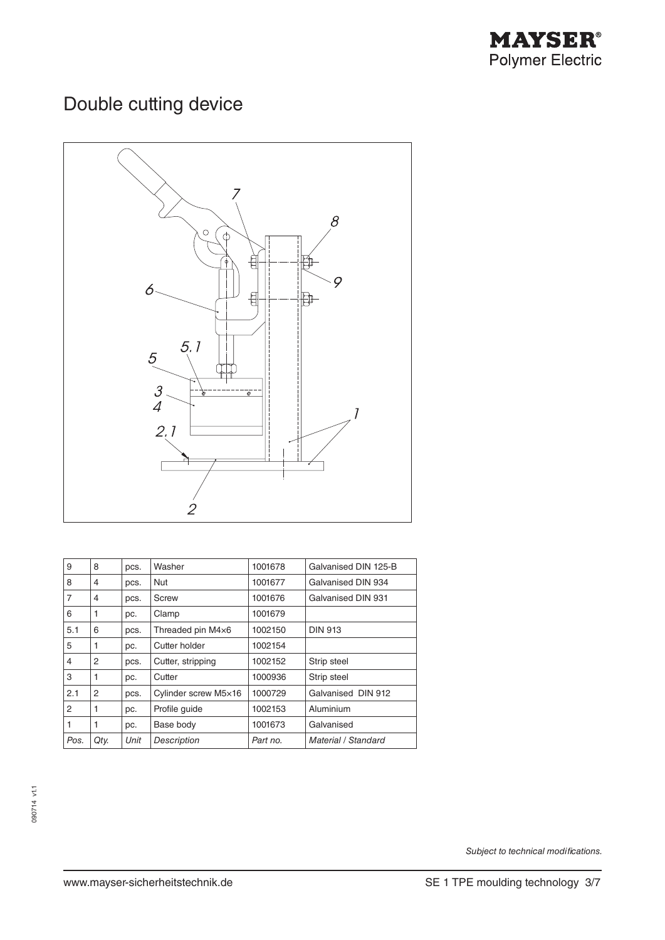

### Double cutting device



| 9    | 8    | pcs. | Washer               | 1001678  | Galvanised DIN 125-B |  |
|------|------|------|----------------------|----------|----------------------|--|
| 8    | 4    | pcs. | <b>Nut</b>           | 1001677  | Galvanised DIN 934   |  |
| 7    | 4    | pcs. | Screw                | 1001676  | Galvanised DIN 931   |  |
| 6    | 1    | pc.  | Clamp                | 1001679  |                      |  |
| 5.1  | 6    | pcs. | Threaded pin M4×6    | 1002150  | <b>DIN 913</b>       |  |
| 5    | 1    | pc.  | Cutter holder        | 1002154  |                      |  |
| 4    | 2    | pcs. | Cutter, stripping    | 1002152  | Strip steel          |  |
| 3    | 1    | pc.  | Cutter               | 1000936  | Strip steel          |  |
| 2.1  | 2    | pcs. | Cylinder screw M5×16 | 1000729  | Galvanised DIN 912   |  |
| 2    | 1    | pc.  | Profile guide        | 1002153  | Aluminium            |  |
|      | 1    | pc.  | Base body            | 1001673  | Galvanised           |  |
| Pos. | Qty. | Unit | Description          | Part no. | Material / Standard  |  |

*Subject to technical modifications.*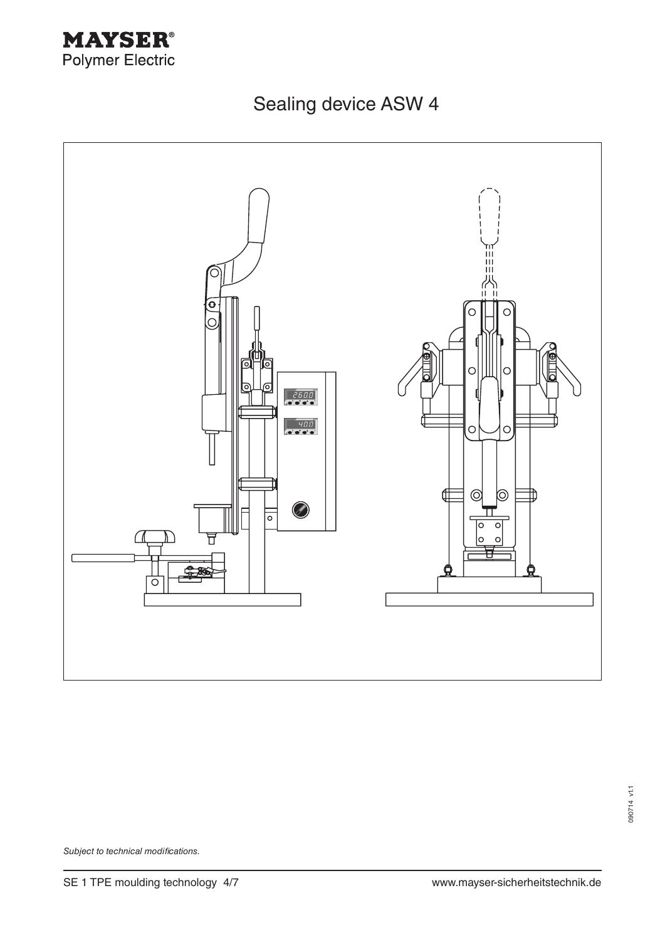

Sealing device ASW 4



090714 v1.1 090714 v1.1

*Subject to technical modifications.*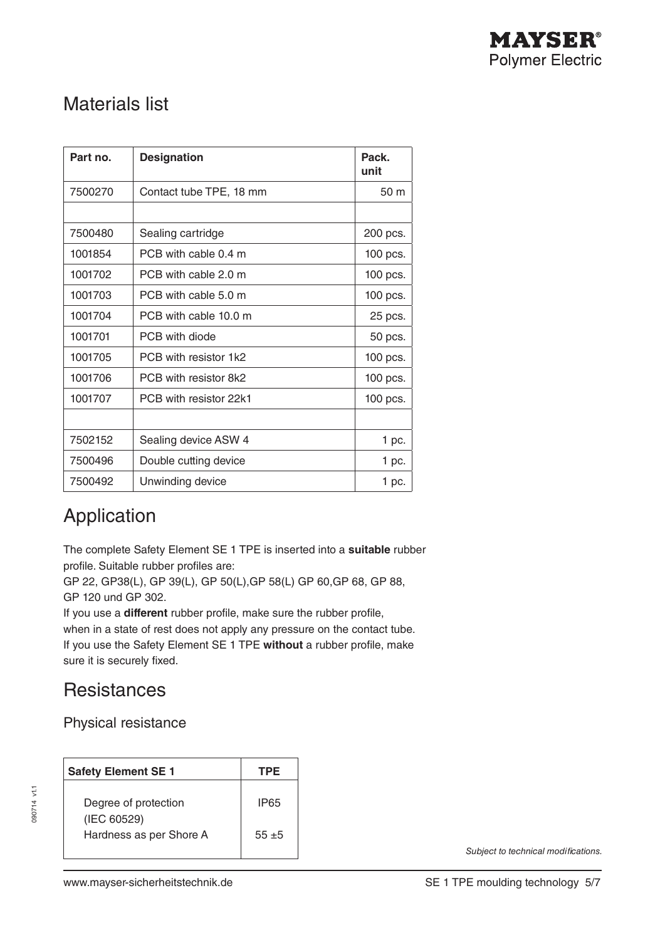### Materials list

| Part no. | <b>Designation</b>      | Pack.<br>unit |
|----------|-------------------------|---------------|
| 7500270  | Contact tube TPE, 18 mm | 50 m          |
|          |                         |               |
| 7500480  | Sealing cartridge       | 200 pcs.      |
| 1001854  | PCB with cable 0.4 m    | 100 pcs.      |
| 1001702  | PCB with cable 2.0 m    | 100 pcs.      |
| 1001703  | PCB with cable 5.0 m    | 100 pcs.      |
| 1001704  | PCB with cable 10.0 m   | 25 pcs.       |
| 1001701  | PCB with diode          | 50 pcs.       |
| 1001705  | PCB with resistor 1k2   | 100 pcs.      |
| 1001706  | PCB with resistor 8k2   | 100 pcs.      |
| 1001707  | PCB with resistor 22k1  | 100 pcs.      |
|          |                         |               |
| 7502152  | Sealing device ASW 4    | 1 pc.         |
| 7500496  | Double cutting device   | 1 pc.         |
| 7500492  | Unwinding device        | 1 pc.         |

### Application

The complete Safety Element SE 1 TPE is inserted into a **suitable** rubber profile. Suitable rubber profiles are:

GP 22, GP38(L), GP 39(L), GP 50(L),GP 58(L) GP 60,GP 68, GP 88, GP 120 und GP 302.

If you use a **different** rubber profile, make sure the rubber profile,

when in a state of rest does not apply any pressure on the contact tube. If you use the Safety Element SE 1 TPE **without** a rubber profile, make sure it is securely fixed.

#### Resistances

Physical resistance

| <b>Safety Element SE 1</b>             | TPE      |
|----------------------------------------|----------|
| Degree of protection                   | IP65     |
| (IEC 60529)<br>Hardness as per Shore A | $55 + 5$ |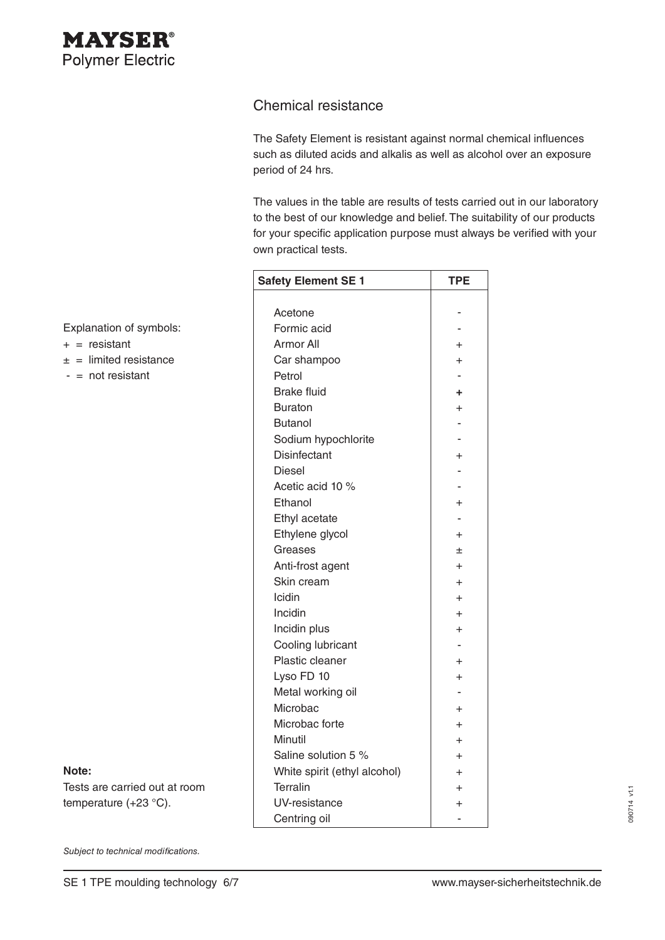

#### Chemical resistance

The Safety Element is resistant against normal chemical influences such as diluted acids and alkalis as well as alcohol over an exposure period of 24 hrs.

The values in the table are results of tests carried out in our laboratory to the best of our knowledge and belief. The suitability of our products for your specific application purpose must always be verified with your own practical tests.

| <b>Safety Element SE 1</b>   | TPE            |
|------------------------------|----------------|
|                              |                |
| Acetone                      |                |
| Formic acid                  |                |
| Armor All                    | $+$            |
| Car shampoo                  | $+$            |
| Petrol                       |                |
| <b>Brake fluid</b>           | ÷              |
| <b>Buraton</b>               | $\ddot{}$      |
| <b>Butanol</b>               |                |
| Sodium hypochlorite          |                |
| <b>Disinfectant</b>          | $\overline{+}$ |
| Diesel                       |                |
| Acetic acid 10 %             |                |
| Ethanol                      | $\ddot{}$      |
| Ethyl acetate                |                |
| Ethylene glycol              | $+$            |
| Greases                      | 土              |
| Anti-frost agent             | $+$            |
| Skin cream                   | $+$            |
| Icidin                       | $+$            |
| Incidin                      | $+$            |
| Incidin plus                 | $+$            |
| Cooling lubricant            |                |
| Plastic cleaner              | $+$            |
| Lyso FD 10                   | $\ddot{}$      |
| Metal working oil            |                |
| Microbac                     | $+$            |
| Microbac forte               | $+$            |
| Minutil                      | $+$            |
| Saline solution 5 %          | $+$            |
| White spirit (ethyl alcohol) | $\ddot{}$      |
| Terralin                     | $\ddot{}$      |
| UV-resistance                | $+$            |
| Centring oil                 |                |

Explanation of symbols:

- $+$  = resistant
- $\pm$  = limited resistance
- $-$  = not resistant

Tests are carried out at room temperature (+23 °C).

*Subject to technical modifications.*